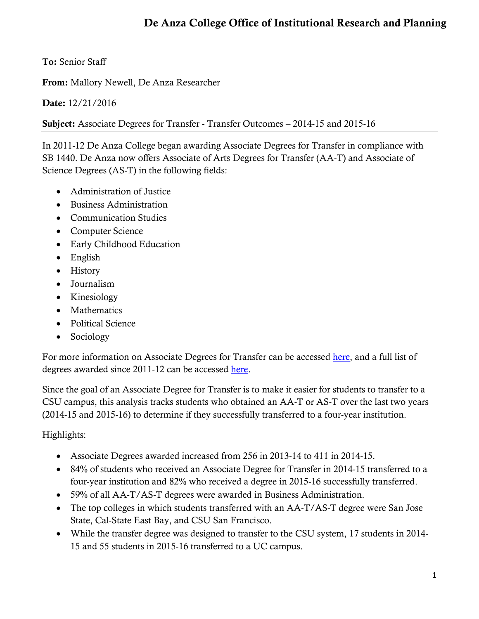## De Anza College Office of Institutional Research and Planning

To: Senior Staff

From: Mallory Newell, De Anza Researcher

Date: 12/21/2016

Subject: Associate Degrees for Transfer - Transfer Outcomes – 2014-15 and 2015-16

In 2011-12 De Anza College began awarding Associate Degrees for Transfer in compliance with SB 1440. De Anza now offers Associate of Arts Degrees for Transfer (AA-T) and Associate of Science Degrees (AS-T) in the following fields:

- Administration of Justice
- Business Administration
- Communication Studies
- Computer Science
- Early Childhood Education
- English
- History
- Journalism
- Kinesiology
- Mathematics
- Political Science
- Sociology

For more information on Associate Degrees for Transfer can be accessed [here,](http://www.deanza.edu/aatastdegrees/degrees.html) and a full list of degrees awarded since 2011-12 can be accessed [here.](http://deanza.edu/ir/AwardsbyDivision.html)

Since the goal of an Associate Degree for Transfer is to make it easier for students to transfer to a CSU campus, this analysis tracks students who obtained an AA-T or AS-T over the last two years (2014-15 and 2015-16) to determine if they successfully transferred to a four-year institution.

## Highlights:

- Associate Degrees awarded increased from 256 in 2013-14 to 411 in 2014-15.
- 84% of students who received an Associate Degree for Transfer in 2014-15 transferred to a four-year institution and 82% who received a degree in 2015-16 successfully transferred.
- 59% of all AA-T/AS-T degrees were awarded in Business Administration.
- The top colleges in which students transferred with an AA-T/AS-T degree were San Jose State, Cal-State East Bay, and CSU San Francisco.
- While the transfer degree was designed to transfer to the CSU system, 17 students in 2014- 15 and 55 students in 2015-16 transferred to a UC campus.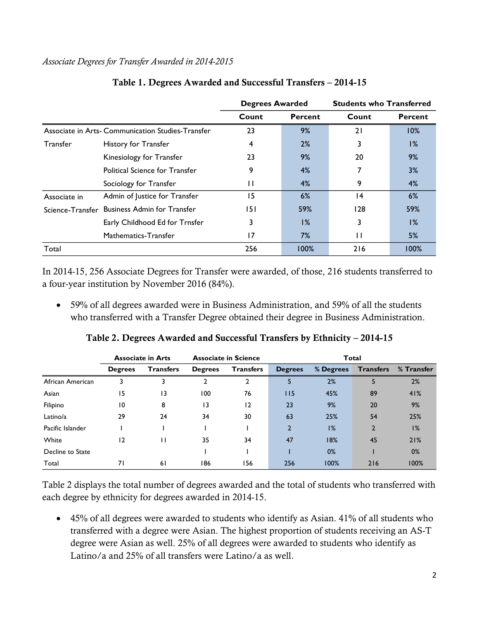#### *Associate Degrees for Transfer Awarded in 2014-2015*

|                  |                                                  | <b>Degrees Awarded</b> |         | <b>Students who Transferred</b> |                |
|------------------|--------------------------------------------------|------------------------|---------|---------------------------------|----------------|
|                  |                                                  | Count                  | Percent | Count                           | <b>Percent</b> |
|                  | Associate in Arts-Communication Studies-Transfer | 23                     | 9%      | 21                              | 10%            |
| <b>Transfer</b>  | History for Transfer                             | 4                      | 2%      | 3                               | $1\%$          |
|                  | Kinesiology for Transfer                         | 23                     | 9%      | 20                              | 9%             |
|                  | <b>Political Science for Transfer</b>            | 9                      | 4%      |                                 | 3%             |
|                  | Sociology for Transfer                           | П                      | 4%      | 9                               | 4%             |
| Associate in     | Admin of Justice for Transfer                    | 15                     | 6%      | 14                              | 6%             |
| Science-Transfer | <b>Business Admin for Transfer</b>               | 151                    | 59%     | 128                             | 59%            |
|                  | Early Childhood Ed for Trnsfer                   | 3                      | 1%      | 3                               | $1\%$          |
|                  | Mathematics-Transfer                             | 17                     | 7%      | П                               | 5%             |
| Total            |                                                  | 256                    | 100%    | 216                             | 100%           |

### Table 1. Degrees Awarded and Successful Transfers – 2014-15

In 2014-15, 256 Associate Degrees for Transfer were awarded, of those, 216 students transferred to a four-year institution by November 2016 (84%).

 59% of all degrees awarded were in Business Administration, and 59% of all the students who transferred with a Transfer Degree obtained their degree in Business Administration.

|                  | <b>Associate in Arts</b><br><b>Associate in Science</b> |                  | <b>Total</b>   |                  |                |           |                  |            |
|------------------|---------------------------------------------------------|------------------|----------------|------------------|----------------|-----------|------------------|------------|
|                  | <b>Degrees</b>                                          | <b>Transfers</b> | <b>Degrees</b> | <b>Transfers</b> | <b>Degrees</b> | % Degrees | <b>Transfers</b> | % Transfer |
| African American | 3                                                       |                  |                |                  | 5              | 2%        |                  | 2%         |
| Asian            | 15                                                      | 13               | 100            | 76               | 115            | 45%       | 89               | 41%        |
| Filipino         | 10                                                      | 8                | 13             | 12               | 23             | 9%        | 20               | 9%         |
| Latino/a         | 29                                                      | 24               | 34             | 30               | 63             | 25%       | 54               | 25%        |
| Pacific Islander |                                                         |                  |                |                  | $\overline{2}$ | 1%        | $\overline{2}$   | 1%         |
| White            | 12                                                      | П                | 35             | 34               | 47             | 18%       | 45               | 21%        |
| Decline to State |                                                         |                  |                |                  |                | 0%        |                  | 0%         |
| Total            | 71                                                      | 61               | 186            | 156              | 256            | 100%      | 216              | 100%       |

### Table 2. Degrees Awarded and Successful Transfers by Ethnicity – 2014-15

Table 2 displays the total number of degrees awarded and the total of students who transferred with each degree by ethnicity for degrees awarded in 2014-15.

 45% of all degrees were awarded to students who identify as Asian. 41% of all students who transferred with a degree were Asian. The highest proportion of students receiving an AS-T degree were Asian as well. 25% of all degrees were awarded to students who identify as Latino/a and 25% of all transfers were Latino/a as well.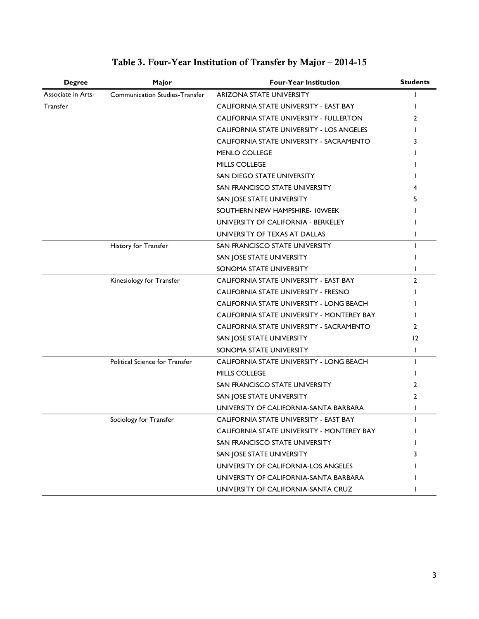| <b>Degree</b>      | Major                                 | <b>Four-Year Institution</b>               | <b>Students</b> |
|--------------------|---------------------------------------|--------------------------------------------|-----------------|
| Associate in Arts- | <b>Communication Studies-Transfer</b> | <b>ARIZONA STATE UNIVERSITY</b>            |                 |
| <b>Transfer</b>    |                                       | CALIFORNIA STATE UNIVERSITY - EAST BAY     |                 |
|                    |                                       | CALIFORNIA STATE UNIVERSITY - FULLERTON    |                 |
|                    |                                       | CALIFORNIA STATE UNIVERSITY - LOS ANGELES  |                 |
|                    |                                       | CALIFORNIA STATE UNIVERSITY - SACRAMENTO   |                 |
|                    |                                       | <b>MENLO COLLEGE</b>                       |                 |
|                    |                                       | MILLS COLLEGE                              |                 |
|                    |                                       | SAN DIEGO STATE UNIVERSITY                 |                 |
|                    |                                       | SAN FRANCISCO STATE UNIVERSITY             |                 |
|                    |                                       | SAN JOSE STATE UNIVERSITY                  |                 |
|                    |                                       | SOUTHERN NEW HAMPSHIRE- IOWEEK             |                 |
|                    |                                       | UNIVERSITY OF CALIFORNIA - BERKELEY        |                 |
|                    |                                       | UNIVERSITY OF TEXAS AT DALLAS              |                 |
|                    | History for Transfer                  | SAN FRANCISCO STATE UNIVERSITY             |                 |
|                    |                                       | SAN JOSE STATE UNIVERSITY                  |                 |
|                    |                                       | SONOMA STATE UNIVERSITY                    |                 |
|                    | Kinesiology for Transfer              | CALIFORNIA STATE UNIVERSITY - EAST BAY     | $\overline{2}$  |
|                    |                                       | CALIFORNIA STATE UNIVERSITY - FRESNO       |                 |
|                    |                                       | CALIFORNIA STATE UNIVERSITY - LONG BEACH   |                 |
|                    |                                       | CALIFORNIA STATE UNIVERSITY - MONTEREY BAY |                 |
|                    |                                       | CALIFORNIA STATE UNIVERSITY - SACRAMENTO   | 2               |
|                    |                                       | SAN JOSE STATE UNIVERSITY                  | $\overline{2}$  |
|                    |                                       | SONOMA STATE UNIVERSITY                    |                 |
|                    | Political Science for Transfer        | CALIFORNIA STATE UNIVERSITY - LONG BEACH   |                 |
|                    |                                       | MILLS COLLEGE                              |                 |
|                    |                                       | SAN FRANCISCO STATE UNIVERSITY             |                 |
|                    |                                       | SAN JOSE STATE UNIVERSITY                  | 2               |
|                    |                                       | UNIVERSITY OF CALIFORNIA-SANTA BARBARA     |                 |
|                    | Sociology for Transfer                | CALIFORNIA STATE UNIVERSITY - EAST BAY     |                 |
|                    |                                       | CALIFORNIA STATE UNIVERSITY - MONTEREY BAY |                 |
|                    |                                       | SAN FRANCISCO STATE UNIVERSITY             |                 |
|                    |                                       | SAN JOSE STATE UNIVERSITY                  |                 |
|                    |                                       | UNIVERSITY OF CALIFORNIA-LOS ANGELES       |                 |
|                    |                                       | UNIVERSITY OF CALIFORNIA-SANTA BARBARA     |                 |
|                    |                                       | UNIVERSITY OF CALIFORNIA-SANTA CRUZ        |                 |

# Table 3. Four-Year Institution of Transfer by Major – 2014-15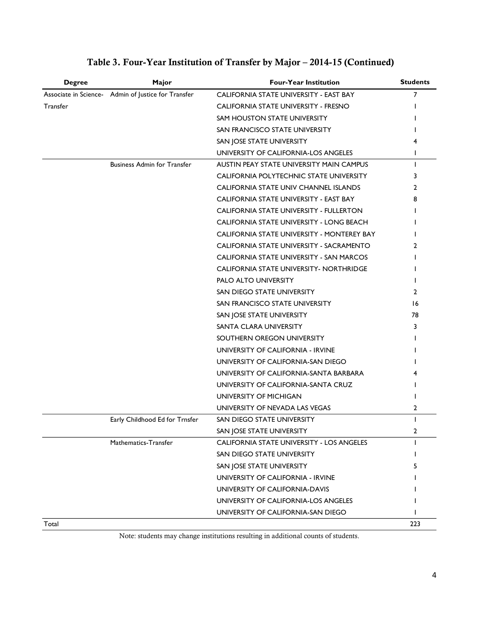| <b>Degree</b> | Major                                               | <b>Four-Year Institution</b>               | <b>Students</b> |
|---------------|-----------------------------------------------------|--------------------------------------------|-----------------|
|               | Associate in Science- Admin of Justice for Transfer | CALIFORNIA STATE UNIVERSITY - EAST BAY     | 7               |
| Transfer      |                                                     | CALIFORNIA STATE UNIVERSITY - FRESNO       |                 |
|               |                                                     | SAM HOUSTON STATE UNIVERSITY               |                 |
|               |                                                     | SAN FRANCISCO STATE UNIVERSITY             |                 |
|               |                                                     | SAN JOSE STATE UNIVERSITY                  |                 |
|               |                                                     | UNIVERSITY OF CALIFORNIA-LOS ANGELES       |                 |
|               | <b>Business Admin for Transfer</b>                  | AUSTIN PEAY STATE UNIVERSITY MAIN CAMPUS   |                 |
|               |                                                     | CALIFORNIA POLYTECHNIC STATE UNIVERSITY    | 3               |
|               |                                                     | CALIFORNIA STATE UNIV CHANNEL ISLANDS      | 2               |
|               |                                                     | CALIFORNIA STATE UNIVERSITY - EAST BAY     |                 |
|               |                                                     | CALIFORNIA STATE UNIVERSITY - FULLERTON    |                 |
|               |                                                     | CALIFORNIA STATE UNIVERSITY - LONG BEACH   |                 |
|               |                                                     | CALIFORNIA STATE UNIVERSITY - MONTEREY BAY |                 |
|               |                                                     | CALIFORNIA STATE UNIVERSITY - SACRAMENTO   | 2               |
|               |                                                     | CALIFORNIA STATE UNIVERSITY - SAN MARCOS   |                 |
|               |                                                     | CALIFORNIA STATE UNIVERSITY- NORTHRIDGE    |                 |
|               |                                                     | PALO ALTO UNIVERSITY                       |                 |
|               |                                                     | SAN DIEGO STATE UNIVERSITY                 | 2               |
|               |                                                     | SAN FRANCISCO STATE UNIVERSITY             | 16              |
|               |                                                     | SAN JOSE STATE UNIVERSITY                  | 78              |
|               |                                                     | SANTA CLARA UNIVERSITY                     | 3               |
|               |                                                     | SOUTHERN OREGON UNIVERSITY                 |                 |
|               |                                                     | UNIVERSITY OF CALIFORNIA - IRVINE          |                 |
|               |                                                     | UNIVERSITY OF CALIFORNIA-SAN DIEGO         |                 |
|               |                                                     | UNIVERSITY OF CALIFORNIA-SANTA BARBARA     |                 |
|               |                                                     | UNIVERSITY OF CALIFORNIA-SANTA CRUZ        |                 |
|               |                                                     | UNIVERSITY OF MICHIGAN                     |                 |
|               |                                                     | UNIVERSITY OF NEVADA LAS VEGAS             | 2               |
|               | Early Childhood Ed for Trnsfer                      | SAN DIEGO STATE UNIVERSITY                 | $\mathbf{I}$    |
|               |                                                     | SAN JOSE STATE UNIVERSITY                  | 2               |
|               | Mathematics-Transfer                                | CALIFORNIA STATE UNIVERSITY - LOS ANGELES  |                 |
|               |                                                     | SAN DIEGO STATE UNIVERSITY                 |                 |
|               |                                                     | SAN JOSE STATE UNIVERSITY                  |                 |
|               |                                                     | UNIVERSITY OF CALIFORNIA - IRVINE          |                 |
|               |                                                     | UNIVERSITY OF CALIFORNIA-DAVIS             |                 |
|               |                                                     | UNIVERSITY OF CALIFORNIA-LOS ANGELES       |                 |
|               |                                                     | UNIVERSITY OF CALIFORNIA-SAN DIEGO         |                 |
| Total         |                                                     |                                            | 223             |

## Table 3. Four-Year Institution of Transfer by Major – 2014-15 (Continued)

Note: students may change institutions resulting in additional counts of students.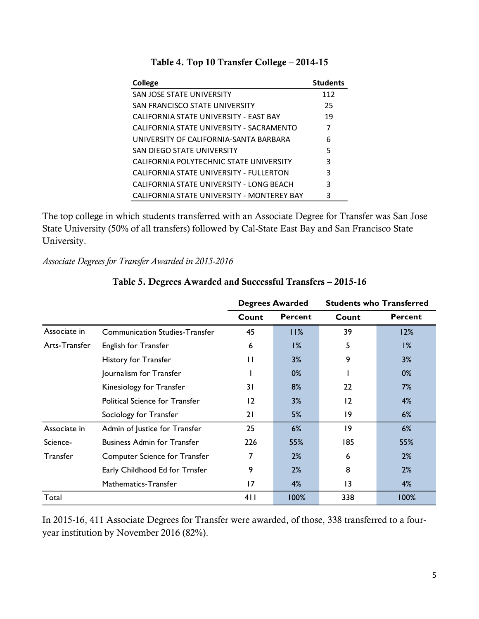| <b>College</b>                             | <b>Students</b> |
|--------------------------------------------|-----------------|
| SAN JOSE STATE UNIVERSITY                  | 112             |
| SAN FRANCISCO STATE UNIVERSITY             | 25              |
| CALIFORNIA STATE UNIVERSITY - EAST BAY     | 19              |
| CALIFORNIA STATE UNIVERSITY - SACRAMENTO   | 7               |
| UNIVERSITY OF CALIFORNIA-SANTA BARBARA     | 6               |
| SAN DIEGO STATE UNIVERSITY                 | 5               |
| CALIFORNIA POLYTECHNIC STATE UNIVERSITY    | 3               |
| CALIFORNIA STATE UNIVERSITY - FULLERTON    | 3               |
| CALIFORNIA STATE UNIVERSITY - LONG BEACH   | 3               |
| CALIFORNIA STATE UNIVERSITY - MONTEREY BAY | 3               |

The top college in which students transferred with an Associate Degree for Transfer was San Jose State University (50% of all transfers) followed by Cal-State East Bay and San Francisco State University.

*Associate Degrees for Transfer Awarded in 2015-2016*

|                 |                                       | <b>Degrees Awarded</b> |                | <b>Students who Transferred</b> |                |
|-----------------|---------------------------------------|------------------------|----------------|---------------------------------|----------------|
|                 |                                       | Count                  | <b>Percent</b> | Count                           | <b>Percent</b> |
| Associate in    | <b>Communication Studies-Transfer</b> | 45                     | 11%            | 39                              | 12%            |
| Arts-Transfer   | <b>English for Transfer</b>           | 6                      | 1%             | 5                               | 1%             |
|                 | History for Transfer                  | $\mathsf{H}$           | 3%             | 9                               | 3%             |
|                 | Journalism for Transfer               |                        | $0\%$          |                                 | $0\%$          |
|                 | Kinesiology for Transfer              | 31                     | 8%             | 22                              | 7%             |
|                 | <b>Political Science for Transfer</b> | $\overline{2}$         | 3%             | 12                              | 4%             |
|                 | Sociology for Transfer                | 21                     | 5%             | 9                               | 6%             |
| Associate in    | Admin of Justice for Transfer         | 25                     | 6%             | 9                               | 6%             |
| Science-        | <b>Business Admin for Transfer</b>    | 226                    | 55%            | 185                             | 55%            |
| <b>Transfer</b> | <b>Computer Science for Transfer</b>  | 7                      | 2%             | 6                               | 2%             |
|                 | Early Childhood Ed for Trnsfer        | 9                      | 2%             | 8                               | 2%             |
|                 | Mathematics-Transfer                  | 17                     | 4%             | $\overline{13}$                 | 4%             |
| Total           |                                       | 411                    | 100%           | 338                             | 100%           |

## Table 5. Degrees Awarded and Successful Transfers – 2015-16

In 2015-16, 411 Associate Degrees for Transfer were awarded, of those, 338 transferred to a fouryear institution by November 2016 (82%).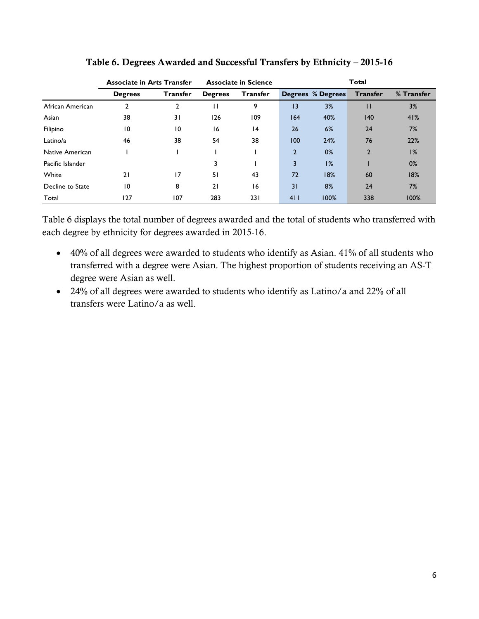|                  | <b>Associate in Arts Transfer</b> |                 | <b>Associate in Science</b> |                 | Total          |                          |                 |            |
|------------------|-----------------------------------|-----------------|-----------------------------|-----------------|----------------|--------------------------|-----------------|------------|
|                  | <b>Degrees</b>                    | <b>Transfer</b> | <b>Degrees</b>              | <b>Transfer</b> |                | <b>Degrees % Degrees</b> | <b>Transfer</b> | % Transfer |
| African American | 2                                 | 2               | $\mathsf{L}$                | 9               | 3              | 3%                       | П               | 3%         |
| Asian            | 38                                | 31              | 126                         | 109             | 164            | 40%                      | 140             | 41%        |
| Filipino         | 10                                | 10              | 16                          | 4               | 26             | 6%                       | 24              | 7%         |
| Latino/a         | 46                                | 38              | 54                          | 38              | 100            | 24%                      | 76              | 22%        |
| Native American  |                                   |                 |                             |                 | $\overline{2}$ | $0\%$                    | $\mathbf{2}$    | 1%         |
| Pacific Islander |                                   |                 |                             |                 | 3              | 1%                       |                 | $0\%$      |
| White            | 21                                | 17              | 51                          | 43              | 72             | 18%                      | 60              | 18%        |
| Decline to State | 10                                | 8               | 21                          | 16              | 31             | 8%                       | 24              | 7%         |
| Total            | 127                               | 107             | 283                         | 231             | 411            | 100%                     | 338             | 100%       |

Table 6. Degrees Awarded and Successful Transfers by Ethnicity – 2015-16

Table 6 displays the total number of degrees awarded and the total of students who transferred with each degree by ethnicity for degrees awarded in 2015-16.

- 40% of all degrees were awarded to students who identify as Asian. 41% of all students who transferred with a degree were Asian. The highest proportion of students receiving an AS-T degree were Asian as well.
- 24% of all degrees were awarded to students who identify as Latino/a and 22% of all transfers were Latino/a as well.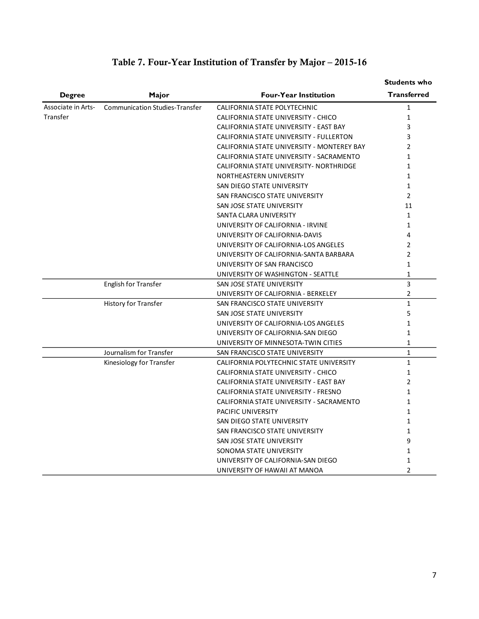|                    |                                       |                                            | <b>Students who</b> |
|--------------------|---------------------------------------|--------------------------------------------|---------------------|
| <b>Degree</b>      | Major                                 | <b>Four-Year Institution</b>               | <b>Transferred</b>  |
| Associate in Arts- | <b>Communication Studies-Transfer</b> | CALIFORNIA STATE POLYTECHNIC               | $\mathbf{1}$        |
| Transfer           |                                       | CALIFORNIA STATE UNIVERSITY - CHICO        | $\mathbf{1}$        |
|                    |                                       | CALIFORNIA STATE UNIVERSITY - EAST BAY     | 3                   |
|                    |                                       | CALIFORNIA STATE UNIVERSITY - FULLERTON    | 3                   |
|                    |                                       | CALIFORNIA STATE UNIVERSITY - MONTEREY BAY | $\overline{2}$      |
|                    |                                       | CALIFORNIA STATE UNIVERSITY - SACRAMENTO   | $\mathbf{1}$        |
|                    |                                       | CALIFORNIA STATE UNIVERSITY- NORTHRIDGE    | $\mathbf{1}$        |
|                    |                                       | NORTHEASTERN UNIVERSITY                    | $\mathbf{1}$        |
|                    |                                       | SAN DIEGO STATE UNIVERSITY                 | $\mathbf{1}$        |
|                    |                                       | SAN FRANCISCO STATE UNIVERSITY             | $\overline{2}$      |
|                    |                                       | SAN JOSE STATE UNIVERSITY                  | 11                  |
|                    |                                       | SANTA CLARA UNIVERSITY                     | $\mathbf{1}$        |
|                    |                                       | UNIVERSITY OF CALIFORNIA - IRVINE          | $\mathbf{1}$        |
|                    |                                       | UNIVERSITY OF CALIFORNIA-DAVIS             | 4                   |
|                    |                                       | UNIVERSITY OF CALIFORNIA-LOS ANGELES       | $\overline{2}$      |
|                    |                                       | UNIVERSITY OF CALIFORNIA-SANTA BARBARA     | $\overline{2}$      |
|                    |                                       | UNIVERSITY OF SAN FRANCISCO                | $\mathbf{1}$        |
|                    |                                       | UNIVERSITY OF WASHINGTON - SEATTLE         | $\mathbf 1$         |
|                    | <b>English for Transfer</b>           | SAN JOSE STATE UNIVERSITY                  | 3                   |
|                    |                                       | UNIVERSITY OF CALIFORNIA - BERKELEY        | $\overline{2}$      |
|                    | <b>History for Transfer</b>           | SAN FRANCISCO STATE UNIVERSITY             | $\mathbf{1}$        |
|                    |                                       | SAN JOSE STATE UNIVERSITY                  | 5                   |
|                    |                                       | UNIVERSITY OF CALIFORNIA-LOS ANGELES       | $\mathbf{1}$        |
|                    |                                       | UNIVERSITY OF CALIFORNIA-SAN DIEGO         | $\mathbf{1}$        |
|                    |                                       | UNIVERSITY OF MINNESOTA-TWIN CITIES        | $\mathbf{1}$        |
|                    | Journalism for Transfer               | SAN FRANCISCO STATE UNIVERSITY             | $\mathbf{1}$        |
|                    | Kinesiology for Transfer              | CALIFORNIA POLYTECHNIC STATE UNIVERSITY    | $\mathbf{1}$        |
|                    |                                       | CALIFORNIA STATE UNIVERSITY - CHICO        | $\mathbf{1}$        |
|                    |                                       | CALIFORNIA STATE UNIVERSITY - EAST BAY     | 2                   |
|                    |                                       | CALIFORNIA STATE UNIVERSITY - FRESNO       | $\mathbf{1}$        |
|                    |                                       | CALIFORNIA STATE UNIVERSITY - SACRAMENTO   | $\mathbf{1}$        |
|                    |                                       | PACIFIC UNIVERSITY                         | $\mathbf{1}$        |
|                    |                                       | SAN DIEGO STATE UNIVERSITY                 | $\mathbf{1}$        |
|                    |                                       | SAN FRANCISCO STATE UNIVERSITY             | $\mathbf{1}$        |
|                    |                                       | SAN JOSE STATE UNIVERSITY                  | 9                   |
|                    |                                       | SONOMA STATE UNIVERSITY                    | $\mathbf{1}$        |
|                    |                                       | UNIVERSITY OF CALIFORNIA-SAN DIEGO         | $\mathbf{1}$        |
|                    |                                       | UNIVERSITY OF HAWAII AT MANOA              | $\overline{2}$      |

## Table 7. Four-Year Institution of Transfer by Major – 2015-16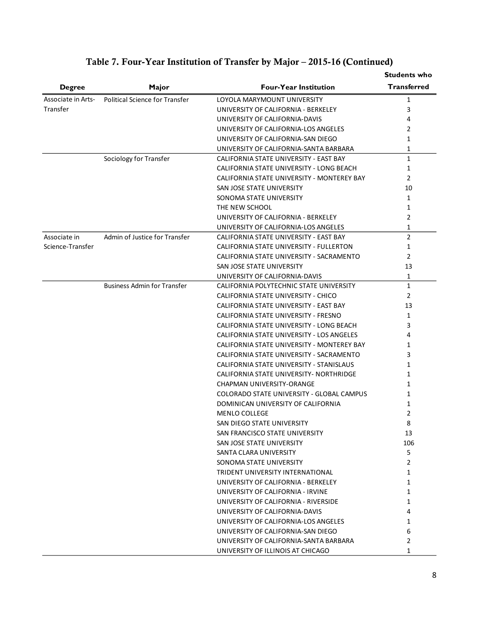|                    |                                    |                                            | <b>Students who</b> |
|--------------------|------------------------------------|--------------------------------------------|---------------------|
| <b>Degree</b>      | Major                              | <b>Four-Year Institution</b>               | <b>Transferred</b>  |
| Associate in Arts- | Political Science for Transfer     | LOYOLA MARYMOUNT UNIVERSITY                | 1                   |
| Transfer           |                                    | UNIVERSITY OF CALIFORNIA - BERKELEY        | 3                   |
|                    |                                    | UNIVERSITY OF CALIFORNIA-DAVIS             | 4                   |
|                    |                                    | UNIVERSITY OF CALIFORNIA-LOS ANGELES       | 2                   |
|                    |                                    | UNIVERSITY OF CALIFORNIA-SAN DIEGO         | $\mathbf{1}$        |
|                    |                                    | UNIVERSITY OF CALIFORNIA-SANTA BARBARA     | $\mathbf{1}$        |
|                    | Sociology for Transfer             | CALIFORNIA STATE UNIVERSITY - EAST BAY     | $\mathbf{1}$        |
|                    |                                    | CALIFORNIA STATE UNIVERSITY - LONG BEACH   | 1                   |
|                    |                                    | CALIFORNIA STATE UNIVERSITY - MONTEREY BAY | $\overline{2}$      |
|                    |                                    | SAN JOSE STATE UNIVERSITY                  | 10                  |
|                    |                                    | SONOMA STATE UNIVERSITY                    | 1                   |
|                    |                                    | THE NEW SCHOOL                             | 1                   |
|                    |                                    | UNIVERSITY OF CALIFORNIA - BERKELEY        | $\overline{2}$      |
|                    |                                    | UNIVERSITY OF CALIFORNIA-LOS ANGELES       | $\mathbf{1}$        |
| Associate in       | Admin of Justice for Transfer      | CALIFORNIA STATE UNIVERSITY - EAST BAY     | $\overline{2}$      |
| Science-Transfer   |                                    | CALIFORNIA STATE UNIVERSITY - FULLERTON    | 1                   |
|                    |                                    | CALIFORNIA STATE UNIVERSITY - SACRAMENTO   | 2                   |
|                    |                                    | SAN JOSE STATE UNIVERSITY                  | 13                  |
|                    |                                    | UNIVERSITY OF CALIFORNIA-DAVIS             | 1                   |
|                    | <b>Business Admin for Transfer</b> | CALIFORNIA POLYTECHNIC STATE UNIVERSITY    | $\mathbf{1}$        |
|                    |                                    | CALIFORNIA STATE UNIVERSITY - CHICO        | $\overline{2}$      |
|                    |                                    | CALIFORNIA STATE UNIVERSITY - EAST BAY     | 13                  |
|                    |                                    | CALIFORNIA STATE UNIVERSITY - FRESNO       | $\mathbf{1}$        |
|                    |                                    | CALIFORNIA STATE UNIVERSITY - LONG BEACH   | 3                   |
|                    |                                    | CALIFORNIA STATE UNIVERSITY - LOS ANGELES  | 4                   |
|                    |                                    | CALIFORNIA STATE UNIVERSITY - MONTEREY BAY | 1                   |
|                    |                                    | CALIFORNIA STATE UNIVERSITY - SACRAMENTO   | 3                   |
|                    |                                    | CALIFORNIA STATE UNIVERSITY - STANISLAUS   | 1                   |
|                    |                                    | CALIFORNIA STATE UNIVERSITY- NORTHRIDGE    | 1                   |
|                    |                                    | CHAPMAN UNIVERSITY-ORANGE                  | 1                   |
|                    |                                    | COLORADO STATE UNIVERSITY - GLOBAL CAMPUS  | 1                   |
|                    |                                    | DOMINICAN UNIVERSITY OF CALIFORNIA         | 1                   |
|                    |                                    | <b>MENLO COLLEGE</b>                       | $\overline{2}$      |
|                    |                                    | SAN DIEGO STATE UNIVERSITY                 | 8                   |
|                    |                                    | SAN FRANCISCO STATE UNIVERSITY             | 13                  |
|                    |                                    | SAN JOSE STATE UNIVERSITY                  | 106                 |
|                    |                                    | SANTA CLARA UNIVERSITY                     | 5                   |
|                    |                                    | SONOMA STATE UNIVERSITY                    | $\overline{2}$      |
|                    |                                    | TRIDENT UNIVERSITY INTERNATIONAL           | 1                   |
|                    |                                    | UNIVERSITY OF CALIFORNIA - BERKELEY        | $\mathbf{1}$        |
|                    |                                    | UNIVERSITY OF CALIFORNIA - IRVINE          | 1                   |
|                    |                                    | UNIVERSITY OF CALIFORNIA - RIVERSIDE       | 1                   |
|                    |                                    | UNIVERSITY OF CALIFORNIA-DAVIS             | 4                   |
|                    |                                    | UNIVERSITY OF CALIFORNIA-LOS ANGELES       | 1                   |
|                    |                                    | UNIVERSITY OF CALIFORNIA-SAN DIEGO         | 6                   |
|                    |                                    | UNIVERSITY OF CALIFORNIA-SANTA BARBARA     | 2                   |
|                    |                                    |                                            |                     |
|                    |                                    | UNIVERSITY OF ILLINOIS AT CHICAGO          | 1                   |

# Table 7. Four-Year Institution of Transfer by Major – 2015-16 (Continued)